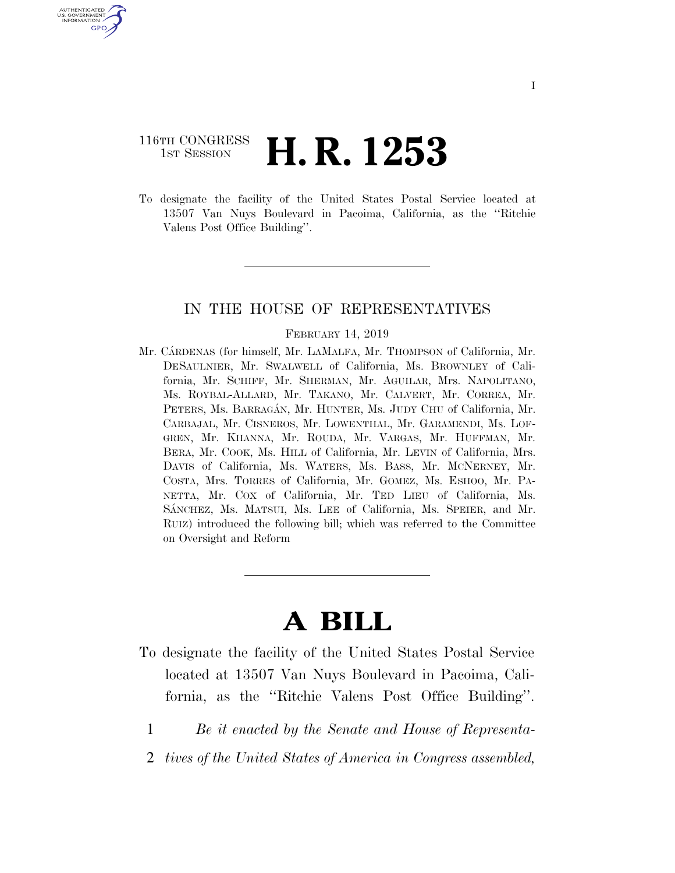# 116TH CONGRESS <sup>TH CONGRESS</sup> **H. R. 1253**

U.S. GOVERNMENT GPO

> To designate the facility of the United States Postal Service located at 13507 Van Nuys Boulevard in Pacoima, California, as the ''Ritchie Valens Post Office Building''.

## IN THE HOUSE OF REPRESENTATIVES

#### FEBRUARY 14, 2019

Mr. CÁRDENAS (for himself, Mr. LAMALFA, Mr. THOMPSON of California, Mr. DESAULNIER, Mr. SWALWELL of California, Ms. BROWNLEY of California, Mr. SCHIFF, Mr. SHERMAN, Mr. AGUILAR, Mrs. NAPOLITANO, Ms. ROYBAL-ALLARD, Mr. TAKANO, Mr. CALVERT, Mr. CORREA, Mr. PETERS, Ms. BARRAGÁN, Mr. HUNTER, Ms. JUDY CHU of California, Mr. CARBAJAL, Mr. CISNEROS, Mr. LOWENTHAL, Mr. GARAMENDI, Ms. LOF-GREN, Mr. KHANNA, Mr. ROUDA, Mr. VARGAS, Mr. HUFFMAN, Mr. BERA, Mr. COOK, Ms. HILL of California, Mr. LEVIN of California, Mrs. DAVIS of California, Ms. WATERS, Ms. BASS, Mr. MCNERNEY, Mr. COSTA, Mrs. TORRES of California, Mr. GOMEZ, Ms. ESHOO, Mr. PA-NETTA, Mr. COX of California, Mr. TED LIEU of California, Ms. SÁNCHEZ, Ms. MATSUI, Ms. LEE of California, Ms. SPEIER, and Mr. RUIZ) introduced the following bill; which was referred to the Committee on Oversight and Reform

# **A BILL**

- To designate the facility of the United States Postal Service located at 13507 Van Nuys Boulevard in Pacoima, California, as the ''Ritchie Valens Post Office Building''.
	- 1 *Be it enacted by the Senate and House of Representa-*
	- 2 *tives of the United States of America in Congress assembled,*